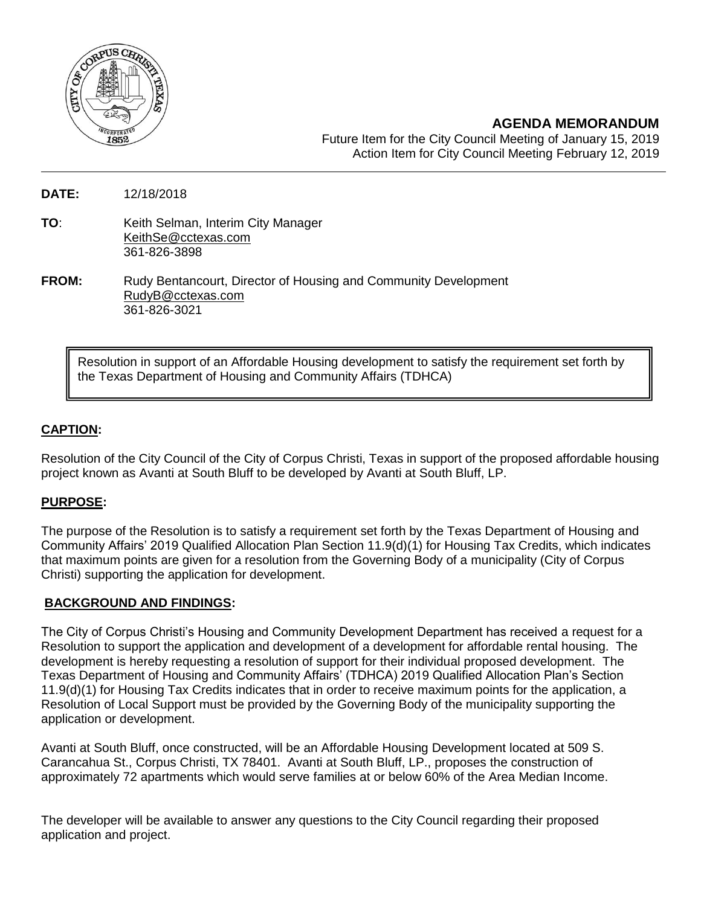

**AGENDA MEMORANDUM**

Future Item for the City Council Meeting of January 15, 2019 Action Item for City Council Meeting February 12, 2019

**DATE:** 12/18/2018

- **TO**: Keith Selman, Interim City Manager [KeithSe@cctexas.com](mailto:KeithSe@cctexas.com) 361-826-3898
- **FROM:** Rudy Bentancourt, Director of Housing and Community Development [RudyB@cctexas.com](mailto:RudyB@cctexas.com) 361-826-3021

Resolution in support of an Affordable Housing development to satisfy the requirement set forth by the Texas Department of Housing and Community Affairs (TDHCA)

# **CAPTION:**

Resolution of the City Council of the City of Corpus Christi, Texas in support of the proposed affordable housing project known as Avanti at South Bluff to be developed by Avanti at South Bluff, LP.

# **PURPOSE:**

The purpose of the Resolution is to satisfy a requirement set forth by the Texas Department of Housing and Community Affairs' 2019 Qualified Allocation Plan Section 11.9(d)(1) for Housing Tax Credits, which indicates that maximum points are given for a resolution from the Governing Body of a municipality (City of Corpus Christi) supporting the application for development.

# **BACKGROUND AND FINDINGS:**

The City of Corpus Christi's Housing and Community Development Department has received a request for a Resolution to support the application and development of a development for affordable rental housing. The development is hereby requesting a resolution of support for their individual proposed development. The Texas Department of Housing and Community Affairs' (TDHCA) 2019 Qualified Allocation Plan's Section 11.9(d)(1) for Housing Tax Credits indicates that in order to receive maximum points for the application, a Resolution of Local Support must be provided by the Governing Body of the municipality supporting the application or development.

Avanti at South Bluff, once constructed, will be an Affordable Housing Development located at 509 S. Carancahua St., Corpus Christi, TX 78401. Avanti at South Bluff, LP., proposes the construction of approximately 72 apartments which would serve families at or below 60% of the Area Median Income.

The developer will be available to answer any questions to the City Council regarding their proposed application and project.